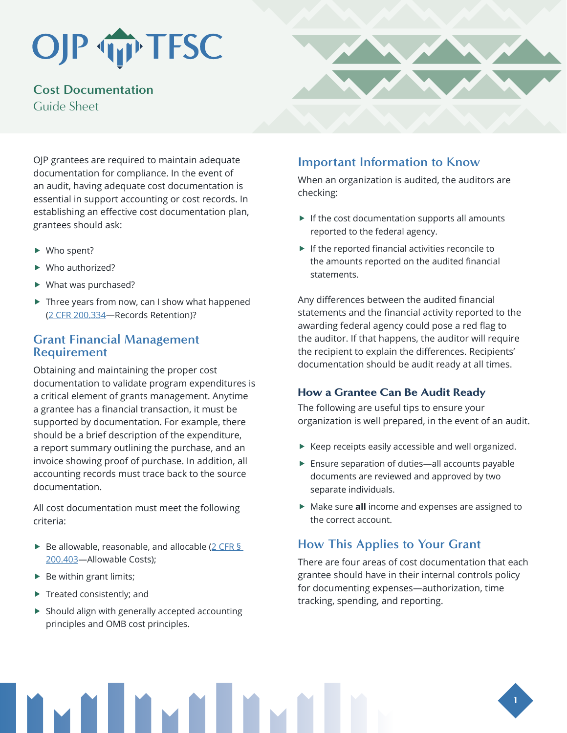# OJP TP TFSC

**Cost Documentation** Guide Sheet

OJP grantees are required to maintain adequate documentation for compliance. In the event of an audit, having adequate cost documentation is essential in support accounting or cost records. In establishing an effective cost documentation plan, grantees should ask:

- $\blacktriangleright$  Who spent?
- $\blacktriangleright$  Who authorized?
- $\blacktriangleright$  What was purchased?
- $\blacktriangleright$  Three years from now, can I show what happened (2 CFR 200.334—Records Retention)?

## **Grant Financial Management Requirement**

Obtaining and maintaining the proper cost documentation to validate program expenditures is a critical element of grants management. Anytime a grantee has a financial transaction, it must be supported by documentation. For example, there should be a brief description of the expenditure, a report summary outlining the purchase, and an invoice showing proof of purchase. In addition, all accounting records must trace back to the source documentation.

All cost documentation must meet the following criteria:

- $\blacktriangleright$  Be allowable, reasonable, and allocable (2 CFR § [200.403—](https://www.ecfr.gov/cgi-bin/text-idx?SID=1cd95cd3e147f094a23c9e6872cce494&mc=true&node=se2.1.200_1403&rgn=div8)Allowable Costs);
- $\blacktriangleright$  Be within grant limits;
- $\blacktriangleright$  Treated consistently; and
- $\blacktriangleright$  Should align with generally accepted accounting principles and OMB cost principles.

## **Important Information to Know**

When an organization is audited, the auditors are checking:

- $\blacktriangleright$  If the cost documentation supports all amounts reported to the federal agency.
- $\blacktriangleright$  If the reported financial activities reconcile to the amounts reported on the audited financial statements.

Any differences between the audited financial statements and the financial activity reported to the awarding federal agency could pose a red flag to the auditor. If that happens, the auditor will require the recipient to explain the differences. Recipients' documentation should be audit ready at all times.

### How a Grantee Can Be Audit Ready

The following are useful tips to ensure your organization is well prepared, in the event of an audit.

- $\blacktriangleright$  Keep receipts easily accessible and well organized.
- $\blacktriangleright$  Ensure separation of duties—all accounts payable documents are reviewed and approved by two separate individuals.
- ▶ Make sure **all** income and expenses are assigned to the correct account.

## **How This Applies to Your Grant**

There are four areas of cost documentation that each grantee should have in their internal controls policy for documenting expenses—authorization, time tracking, spending, and reporting.

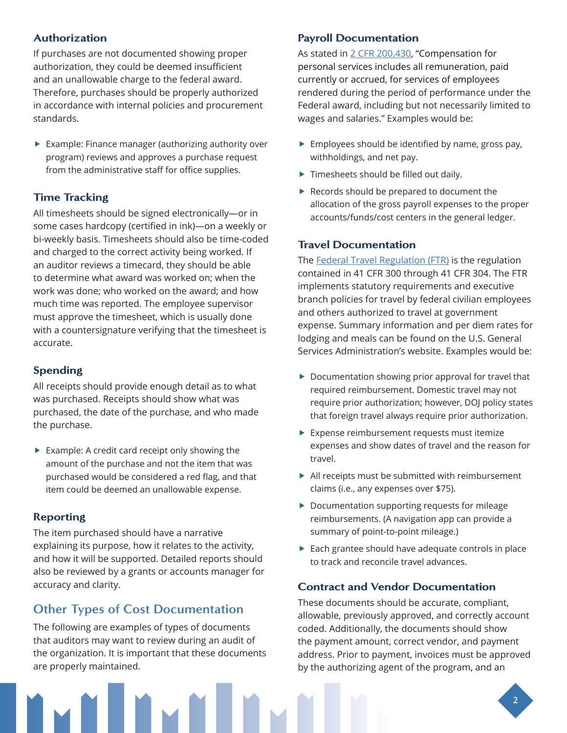## Authorization

If purchases are not documented showing proper authorization, they could be deemed insufficient and an unallowable charge to the federal award. Therefore, purchases should be properly authorized in accordance with internal policies and procurement standards.

 $\blacktriangleright$  Example: Finance manager (authorizing authority over program) reviews and approves a purchase request from the administrative staff for office supplies.

## Time Tracking

All timesheets should be signed electronically—or in some cases hardcopy (certified in ink)—on a weekly or bi-weekly basis. Timesheets should also be time-coded and charged to the correct activity being worked. If an auditor reviews a timecard, they should be able to determine what award was worked on; when the work was done; who worked on the award; and how much time was reported. The employee supervisor must approve the timesheet, which is usually done with a countersignature verifying that the timesheet is accurate.

## Spending

All receipts should provide enough detail as to what was purchased. Receipts should show what was purchased, the date of the purchase, and who made the purchase.

 $\blacktriangleright$  Example: A credit card receipt only showing the amount of the purchase and not the item that was purchased would be considered a red flag, and that item could be deemed an unallowable expense.

## Reporting

The item purchased should have a narrative explaining its purpose, how it relates to the activity, and how it will be supported. Detailed reports should also be reviewed by a grants or accounts manager for accuracy and clarity.

## **Other Types of Cost Documentation**

The following are examples of types of documents that auditors may want to review during an audit of the organization. It is important that these documents are properly maintained.

## Payroll Documentation

As stated in [2 CFR 200.430,](https://www.govinfo.gov/content/pkg/CFR-2018-title2-vol1/pdf/CFR-2018-title2-vol1-sec200-430.pdf) "Compensation for personal services includes all remuneration, paid currently or accrued, for services of employees rendered during the period of performance under the Federal award, including but not necessarily limited to wages and salaries." Examples would be:

- $\blacktriangleright$  Employees should be identified by name, gross pay, withholdings, and net pay.
- $\blacktriangleright$  Timesheets should be filled out daily.
- $\blacktriangleright$  Records should be prepared to document the allocation of the gross payroll expenses to the proper accounts/funds/cost centers in the general ledger.

### Travel Documentation

The [Federal Travel Regulation \(FTR\)](http://www.gsa.gov/portal/content/104790) is the regulation contained in 41 CFR 300 through 41 CFR 304. The FTR implements statutory requirements and executive branch policies for travel by federal civilian employees and others authorized to travel at government expense. Summary information and per diem rates for lodging and meals can be found on the U.S. General Services Administration's website. Examples would be:

- $\triangleright$  Documentation showing prior approval for travel that required reimbursement. Domestic travel may not require prior authorization; however, DOJ policy states that foreign travel always require prior authorization.
- $\blacktriangleright$  Expense reimbursement requests must itemize expenses and show dates of travel and the reason for travel.
- $\blacktriangleright$  All receipts must be submitted with reimbursement claims (i.e., any expenses over \$75).
- $\blacktriangleright$  Documentation supporting requests for mileage reimbursements. (A navigation app can provide a summary of point-to-point mileage.)
- $\blacktriangleright$  Each grantee should have adequate controls in place to track and reconcile travel advances.

### Contract and Vendor Documentation

These documents should be accurate, compliant, allowable, previously approved, and correctly account coded. Additionally, the documents should show the payment amount, correct vendor, and payment address. Prior to payment, invoices must be approved by the authorizing agent of the program, and an